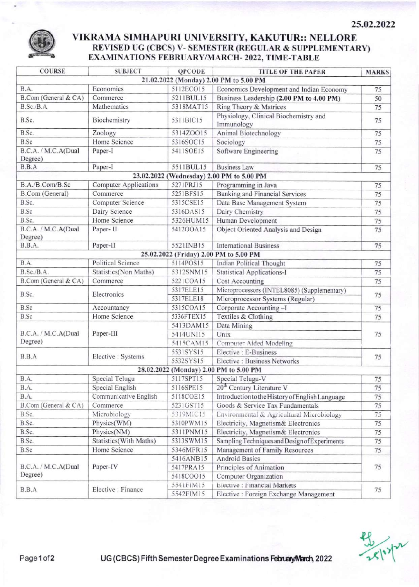

## VIKRAMA SIMHAPURI UNIVERSITY, KAKUTUR:: NELLORE REVISED UG (CBCS) V- SEMESTER (REGULAR & SUPPLEMENTARY) EXAMINATIONS FEBRUARY/MARCH-2022, TIME-TABLE

| <b>COURSE</b>                             | <b>SUBJECT</b>               | QPCODE     | <b>TITLE OF THE PAPER</b>                           | <b>MARKS</b> |  |  |  |  |
|-------------------------------------------|------------------------------|------------|-----------------------------------------------------|--------------|--|--|--|--|
| 21.02.2022 (Monday) 2.00 PM to 5.00 PM    |                              |            |                                                     |              |  |  |  |  |
| B.A.                                      | Economics                    | 5112ECO15  | Economics Development and Indian Economy            | 75           |  |  |  |  |
| B.Com (General & CA)                      | Commerce                     | 5211BUL15  | Business Leadership (2.00 PM to 4.00 PM)            | 50           |  |  |  |  |
| B.Sc./B.A                                 | Mathematics                  | 5318MAT15  | Ring Theory & Matrices                              | 75           |  |  |  |  |
| B.Sc.                                     | Biochemistry                 | 5311BIC15  | Physiology, Clinical Biochemistry and<br>Immunology | 75           |  |  |  |  |
| B.Sc.                                     | Zoology                      | 5314ZOO15  | Animal Biotechnology                                | 75           |  |  |  |  |
| B.Sc                                      | Home Science                 | 5316SOC15  | Sociology                                           | 75           |  |  |  |  |
| B.C.A. / M.C.A(Dual                       | Paper-I                      | 5411SOE15  | Software Engineering                                | 75           |  |  |  |  |
| Degree)                                   |                              |            |                                                     |              |  |  |  |  |
| B.B.A                                     | Paper-I                      | 5511BUL15  | <b>Business Law</b>                                 | 75           |  |  |  |  |
| 23.02.2022 (Wednesday) 2.00 PM to 5.00 PM |                              |            |                                                     |              |  |  |  |  |
| B.A./B.Com/B.Sc                           | <b>Computer Applications</b> | 5271PRJ15  | Programming in Java                                 | 75           |  |  |  |  |
| B.Com (General)                           | Commerce                     | 5251BFS15  | Banking and Financial Services                      | 75           |  |  |  |  |
| B.Sc.                                     | Computer Science             | 5315CSE15  | Data Base Management System                         | 75           |  |  |  |  |
| B.Sc                                      | Dairy Science                | 5316DAS15  | Dairy Chemistry                                     | 75           |  |  |  |  |
| B.Sc.                                     | Home Science                 | 5326HUM15  | Human Development                                   | 75           |  |  |  |  |
| B.C.A. / M.C.A(Dual<br>Degree)            | Paper-II                     | 5412OOA15  | Object Oriented Analysis and Design                 | 75           |  |  |  |  |
| B.B.A.                                    | Paper-II                     | 5521INB15  | <b>International Business</b>                       | 75           |  |  |  |  |
| 25.02.2022 (Friday) 2.00 PM to 5.00 PM    |                              |            |                                                     |              |  |  |  |  |
| B.A.                                      | Political Science            | 5114POS15  | Indian Political Thought                            | 75           |  |  |  |  |
| B.Sc./B.A.                                | Statistics(Non Maths)        | 5312SNM15  | <b>Statistical Applications-I</b>                   | 75           |  |  |  |  |
| B.Com (General & CA)                      | Commerce                     | 5221COA15  | Cost Accounting                                     | 75           |  |  |  |  |
|                                           | Electronics                  | 5317ELE15  | Microprocessors (INTEL8085) (Supplementary)         | 75           |  |  |  |  |
| B.Sc.                                     |                              | 5317ELE18  | Microprocessor Systems (Regular)                    |              |  |  |  |  |
| B.Sc                                      | Accountancy                  | 5315COA15  | Corporate Accounting-I                              | 75           |  |  |  |  |
| B.Sc                                      | Home Science                 | 5336FTEX15 | Textiles & Clothing                                 | 75           |  |  |  |  |
|                                           | Paper-III                    | 5413DAM15  | Data Mining                                         | 75           |  |  |  |  |
| B.C.A. / M.C.A(Dual                       |                              | 5414UNI15  | Unix                                                |              |  |  |  |  |
| Degree)                                   |                              | 5415CAM15  | Computer Aided Modeling                             |              |  |  |  |  |
| B.B.A                                     | Elective : Systems           | 5531SYS15  | Elective : E-Business                               | 75           |  |  |  |  |
|                                           |                              | 5532SYS15  | Elective : Business Networks                        |              |  |  |  |  |
| 28.02.2022 (Monday) 2.00 PM to 5.00 PM    |                              |            |                                                     |              |  |  |  |  |
| B.A.                                      | Special Telugu               | 5117SPT15  | Special Telugu-V                                    | 75           |  |  |  |  |
| B.A.                                      | Special English              | 5116SPE15  | 20 <sup>th</sup> Century Literature V               | 75           |  |  |  |  |
| B.A.                                      | Communicative English        | 5118COE15  | Introduction to the History of English Language     | 75           |  |  |  |  |
| B.Com (General & CA)                      | Commerce                     | 5231GST15  | Goods & Service Tax Fundamentals                    | 75           |  |  |  |  |
| B.Sc.                                     | Microbiology                 | 5319MIC15  | Environmental & Agricultural Microbiology           | 75           |  |  |  |  |
| B.Sc.                                     | Physics(WM)                  | 5310PWM15  | Electricity, Magnetism& Electronics                 | 75           |  |  |  |  |
| B.Sc.                                     | Physics(NM)                  | 5311PNM15  | Electricity, Magnetism& Electronics                 | 75           |  |  |  |  |
| B.Sc.                                     | Statistics(With Maths)       | 5313SWM15  | Sampling Techniques and Design of Experiments       | 75           |  |  |  |  |
| B.Sc                                      | Home Science                 | 5346MFR15  | Management of Family Resources                      | 75           |  |  |  |  |
| B.C.A. / M.C.A(Dual<br>Degree)            | Paper-IV                     | 5416ANB15  | <b>Android Basics</b>                               | 75           |  |  |  |  |
|                                           |                              | 5417PRA15  | Principles of Animation                             |              |  |  |  |  |
|                                           |                              | 5418COO15  | Computer Organization                               |              |  |  |  |  |
| B.B.A                                     | Elective : Finance           | 5541FIM15  | Elective : Financial Markets                        | 75           |  |  |  |  |
|                                           |                              | 5542FIM15  | Elective : Foreign Exchange Management              |              |  |  |  |  |

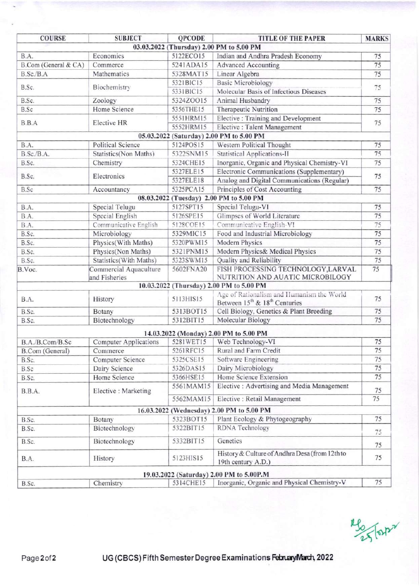| <b>COURSE</b>                           | <b>SUBJECT</b>               | <b>QPCODE</b> | <b>TITLE OF THE PAPER</b>                                                    | <b>MARKS</b> |  |  |
|-----------------------------------------|------------------------------|---------------|------------------------------------------------------------------------------|--------------|--|--|
|                                         |                              |               | 03.03.2022 (Thursday) 2.00 PM to 5.00 PM                                     |              |  |  |
| B.A.                                    | Economics                    | 5122ECO15     | Indian and Andhra Pradesh Economy                                            | 75           |  |  |
| B.Com (General & CA)                    | Commerce                     | 5241ADA15     | <b>Advanced Accounting</b>                                                   | 75           |  |  |
| B.Sc./B.A                               | Mathematics                  | 5328MAT15     | Linear Algebra                                                               | 75           |  |  |
| B.Sc.                                   |                              | 5321BIC15     | <b>Basic Microbiology</b>                                                    |              |  |  |
|                                         | Biochemistry                 | 5331BIC15     | Molecular Basis of Infectious Diseases                                       | 75           |  |  |
| B.Sc.                                   | Zoology                      | 5324ZOO15     | Animal Husbandry                                                             | 75           |  |  |
| B.Sc                                    | Home Science                 | 5356THE15     | Therapeutic Nutrition                                                        | 75           |  |  |
| B.B.A                                   | Elective HR                  | 5551HRM15     | Elective : Training and Development                                          |              |  |  |
|                                         |                              | 5552HRM15     | Elective : Talent Management                                                 | 75           |  |  |
|                                         |                              |               | 05.03.2022 (Saturday) 2.00 PM to 5.00 PM                                     |              |  |  |
| B.A.                                    | <b>Political Science</b>     | 5124POS15     | Western Political Thought                                                    | 75           |  |  |
| B.Sc./B.A.                              | Statistics(Non Maths)        | 5322SNM15     | <b>Statistical Applications-II</b>                                           | 75           |  |  |
| B.Sc.                                   | Chemistry                    | 5324CHE15     | Inorganic, Organic and Physical Chemistry-VI                                 | 75           |  |  |
|                                         |                              | 5327ELE15     | Electronic Communications (Supplementary)                                    | 75           |  |  |
| B.Sc.                                   | Electronics                  | 5327ELE18     | Analog and Digital Communications (Regular)                                  |              |  |  |
| B.Sc                                    | Accountancy                  | 5325PCA15     | Principles of Cost Accounting                                                | 75           |  |  |
| 08.03.2022 (Tuesday) 2.00 PM to 5.00 PM |                              |               |                                                                              |              |  |  |
| B.A.                                    | Special Telugu               | 5127SPT15     | Special Telugu-VI                                                            | 75           |  |  |
| B.A.                                    | Special English              | 5126SPE15     | Glimpses of World Literature                                                 | 75           |  |  |
| B.A.                                    | Communicative English        | 5128COE15     | Communicative English-VI                                                     | 75           |  |  |
| B.Sc.                                   | Microbiology                 | 5329MIC15     | Food and Industrial Microbiology                                             | 75           |  |  |
| B.Sc.                                   | Physics(With Maths)          | 5320PWM15     | Modern Physics                                                               | 75           |  |  |
| B.Sc.                                   | Physics(Non Maths)           | 5321PNM15     | Modern Physics& Medical Physics                                              | 75           |  |  |
| B.Sc.                                   | Statistics(With Maths)       | 5323SWM15     | Quality and Reliability                                                      | 75           |  |  |
| B.Voc.                                  | Commercial Aquaculture       | 5602FNA20     | FISH PROCESSING TECHNOLOGY, LARVAL                                           | 75           |  |  |
|                                         | and Fisheries                |               | NUTRITION AND AUATIC MICROBILOGY<br>10.03.2022 (Thursday) 2.00 PM to 5.00 PM |              |  |  |
|                                         |                              |               | Age of Rationalism and Humanism the World                                    |              |  |  |
| B.A.                                    | History                      | 5113HIS15     | Between 15 <sup>th</sup> & 18 <sup>th</sup> Centuries                        | 75           |  |  |
| B.Sc.                                   | Botany                       | 5313BOT15     | Cell Biology, Genetics & Plant Breeding                                      | 75           |  |  |
| B.Sc.                                   | Biotechnology                | 5312BIT15     | Molecular Biology                                                            | 75           |  |  |
|                                         |                              |               | 14.03.2022 (Monday) 2.00 PM to 5.00 PM                                       |              |  |  |
| B.A./B.Com/B.Sc                         | <b>Computer Applications</b> | 5281WET15     | Web Technology-VI                                                            | 75           |  |  |
| B.Com (General)                         | Commerce                     | 5261RFC15     | Rural and Farm Credit                                                        | 75           |  |  |
| B.Sc.                                   | Computer Science             | 5325CSE15     | Software Engineering                                                         | 75           |  |  |
| <b>B.Sc</b>                             | Dairy Science                | 5326DAS15     | Dairy Microbiology                                                           | 75           |  |  |
| B.Sc.                                   | Home Science                 | 5366HSE15     | Home Science Extension                                                       | 75           |  |  |
| B.B.A.                                  |                              | 5561MAM15     | Elective: Advertising and Media Management                                   |              |  |  |
|                                         | Elective: Marketing          |               |                                                                              | 75           |  |  |
|                                         |                              | 5562MAM15     | Elective : Retail Management                                                 | 75           |  |  |
|                                         |                              |               | 16.03.2022 (Wednesday) 2.00 PM to 5.00 PM                                    |              |  |  |
| B.Sc.                                   | Botany                       | 5323BOT15     | Plant Ecology & Phytogeography                                               | 75           |  |  |
| B.Sc.                                   | Biotechnology                | 5322BIT15     | RDNA Technology                                                              | 75           |  |  |
| B.Sc.                                   | Biotechnology                | 5332BIT15     | Genetics                                                                     | 75           |  |  |
| B.A.                                    | History                      | 5123HIS15     | History & Culture of Andhra Desa (from 12th to<br>19th century A.D.)         | 75           |  |  |
|                                         |                              |               | 19.03.2022 (Saturday) 2.00 PM to 5.00P.M                                     |              |  |  |
| B.Sc.                                   | Chemistry                    | 5314CHE15     | Inorganic, Organic and Physical Chemistry-V                                  | 75           |  |  |
|                                         |                              |               |                                                                              |              |  |  |

**"So Forth"**